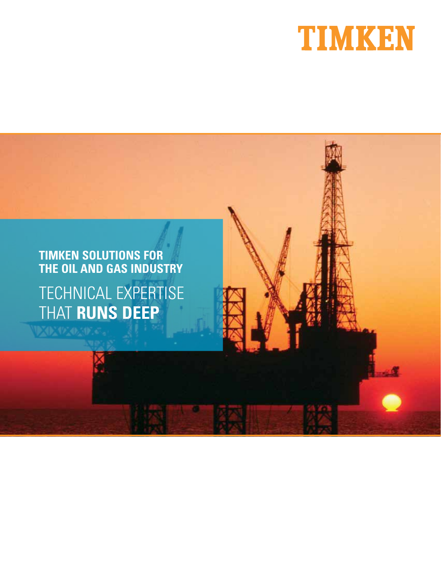

# **TIMKEN SOLUTIONS FOR THE OIL AND GAS INDUSTRY** TECHNICAL EXPERTISE

THAT **RUNS DEEP**気候の気候で、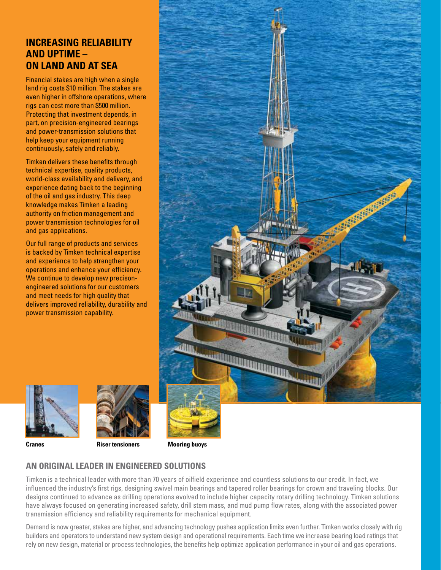#### **INCREASING RELIABILITY AND UPTIME – ON LAND AND AT SEA**

Financial stakes are high when a single land rig costs \$10 million. The stakes are even higher in offshore operations, where rigs can cost more than \$500 million. Protecting that investment depends, in part, on precision-engineered bearings and power-transmission solutions that help keep your equipment running continuously, safely and reliably.

Timken delivers these benefits through technical expertise, quality products, world-class availability and delivery, and experience dating back to the beginning of the oil and gas industry. This deep knowledge makes Timken a leading authority on friction management and power transmission technologies for oil and gas applications.

Our full range of products and services is backed by Timken technical expertise and experience to help strengthen your operations and enhance your efficiency. We continue to develop new precisonengineered solutions for our customers and meet needs for high quality that delivers improved reliability, durability and power transmission capability.







**Cranes Riser tensioners Mooring buoys**

#### **AN ORIGINAL LEADER IN ENGINEERED SOLUTIONS**

Timken is a technical leader with more than 70 years of oilfield experience and countless solutions to our credit. In fact, we influenced the industry's first rigs, designing swivel main bearings and tapered roller bearings for crown and traveling blocks. Our designs continued to advance as drilling operations evolved to include higher capacity rotary drilling technology. Timken solutions have always focused on generating increased safety, drill stem mass, and mud pump flow rates, along with the associated power transmission efficiency and reliability requirements for mechanical equipment.

**2** rely on new design, material or process technologies, the benefits help optimize application performance in your oil and gas operations.Demand is now greater, stakes are higher, and advancing technology pushes application limits even further. Timken works closely with rig builders and operators to understand new system design and operational requirements. Each time we increase bearing load ratings that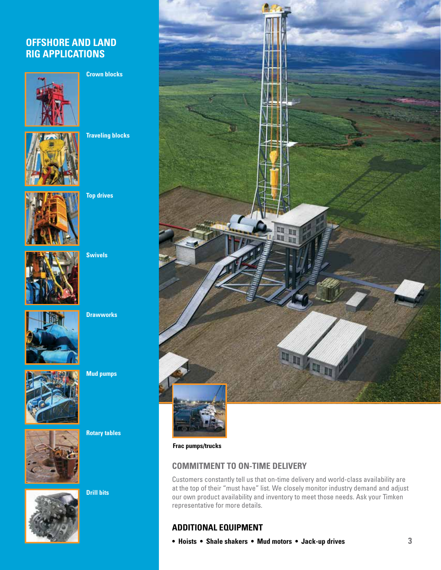#### **OFFSHORE AND LAND RIG APPLICATIONS**



**Crown blocks**



**Traveling blocks**



**Top drives**



**Swivels**



**Drawworks** 



**Mud pumps**



**Rotary tables**



**Drill bits**



**Frac pumps/trucks**

#### **COMMITMENT TO ON-TIME DELIVERY**

Customers constantly tell us that on-time delivery and world-class availability are at the top of their "must have" list. We closely monitor industry demand and adjust our own product availability and inventory to meet those needs. Ask your Timken representative for more details.

#### **ADDITIONAL EQUIPMENT**

**• Hoists • Shale shakers • Mud motors • Jack-up drives**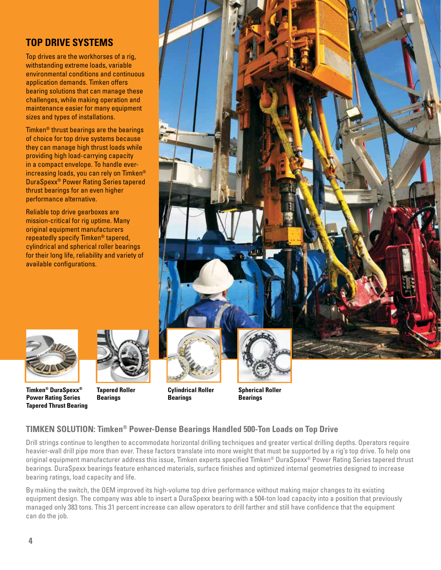#### **TOP DRIVE SYSTEMS**

Top drives are the workhorses of a rig, withstanding extreme loads, variable environmental conditions and continuous application demands. Timken offers bearing solutions that can manage these challenges, while making operation and maintenance easier for many equipment sizes and types of installations.

Timken® thrust bearings are the bearings of choice for top drive systems because they can manage high thrust loads while providing high load-carrying capacity in a compact envelope. To handle everincreasing loads, you can rely on Timken® DuraSpexx® Power Rating Series tapered thrust bearings for an even higher performance alternative.

Reliable top drive gearboxes are mission-critical for rig uptime. Many original equipment manufacturers repeatedly specify Timken® tapered, cylindrical and spherical roller bearings for their long life, reliability and variety of available configurations.







**Tapered Roller Bearings**





#### **TIMKEN SOLUTION: Timken® Power-Dense Bearings Handled 500-Ton Loads on Top Drive**

Drill strings continue to lengthen to accommodate horizontal drilling techniques and greater vertical drilling depths. Operators require heavier-wall drill pipe more than ever. These factors translate into more weight that must be supported by a rig's top drive. To help one original equipment manufacturer address this issue, Timken experts specified Timken® DuraSpexx® Power Rating Series tapered thrust bearings. DuraSpexx bearings feature enhanced materials, surface finishes and optimized internal geometries designed to increase bearing ratings, load capacity and life.

By making the switch, the OEM improved its high-volume top drive performance without making major changes to its existing equipment design. The company was able to insert a DuraSpexx bearing with a 504-ton load capacity into a position that previously managed only 383 tons. This 31 percent increase can allow operators to drill farther and still have confidence that the equipment can do the job.

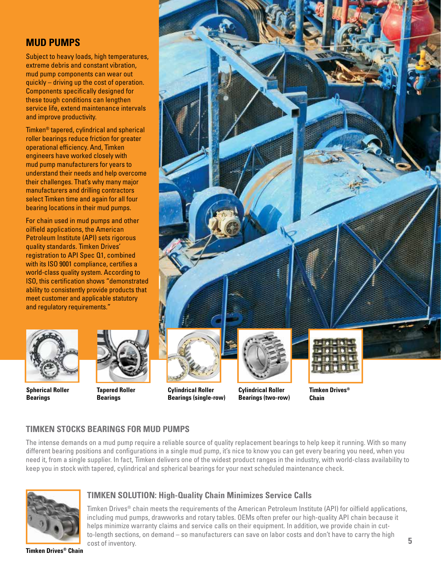#### **MUD PUMPS**

Subject to heavy loads, high temperatures, extreme debris and constant vibration, mud pump components can wear out quickly – driving up the cost of operation. Components specifically designed for these tough conditions can lengthen service life, extend maintenance intervals and improve productivity.

Timken® tapered, cylindrical and spherical roller bearings reduce friction for greater operational efficiency. And, Timken engineers have worked closely with mud pump manufacturers for years to understand their needs and help overcome their challenges. That's why many major manufacturers and drilling contractors select Timken time and again for all four bearing locations in their mud pumps.

For chain used in mud pumps and other oilfield applications, the American Petroleum Institute (API) sets rigorous quality standards. Timken Drives' registration to API Spec Q1, combined with its ISO 9001 compliance, certifies a world-class quality system. According to ISO, this certification shows "demonstrated ability to consistently provide products that meet customer and applicable statutory and regulatory requirements."



**Spherical Roller Bearings**



**Bearings**



**Tapered Roller** 



**Cylindrical Roller Bearings (two-row)**



#### **TIMKEN STOCKS BEARINGS FOR MUD PUMPS**

The intense demands on a mud pump require a reliable source of quality replacement bearings to help keep it running. With so many different bearing positions and configurations in a single mud pump, it's nice to know you can get every bearing you need, when you need it, from a single supplier. In fact, Timken delivers one of the widest product ranges in the industry, with world-class availability to keep you in stock with tapered, cylindrical and spherical bearings for your next scheduled maintenance check.



#### **TIMKEN SOLUTION: High-Quality Chain Minimizes Service Calls**

Timken Drives® chain meets the requirements of the American Petroleum Institute (API) for oilfield applications, including mud pumps, drawworks and rotary tables. OEMs often prefer our high-quality API chain because it helps minimize warranty claims and service calls on their equipment. In addition, we provide chain in cutto-length sections, on demand – so manufacturers can save on labor costs and don't have to carry the high cost of inventory.

**Timken Drives® Chain**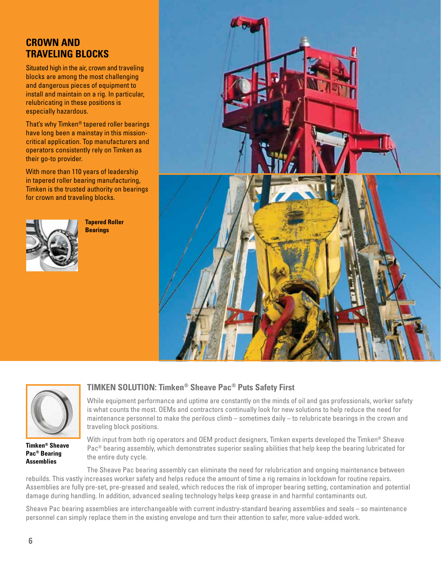#### **CROWN AND TRAVELING BLOCKS**

Situated high in the air, crown and traveling blocks are among the most challenging and dangerous pieces of equipment to install and maintain on a rig. In particular, relubricating in these positions is especially hazardous.

That's why Timken® tapered roller bearings have long been a mainstay in this missioncritical application. Top manufacturers and operators consistently rely on Timken as their go-to provider.

With more than 110 years of leadership in tapered roller bearing manufacturing, Timken is the trusted authority on bearings for crown and traveling blocks.



**Tapered Roller Bearings**





**Timken® Sheave Pac® Bearing Assemblies**

#### **TIMKEN SOLUTION: Timken® Sheave Pac® Puts Safety First**

While equipment performance and uptime are constantly on the minds of oil and gas professionals, worker safety is what counts the most. OEMs and contractors continually look for new solutions to help reduce the need for maintenance personnel to make the perilous climb – sometimes daily – to relubricate bearings in the crown and traveling block positions.

With input from both rig operators and OEM product designers, Timken experts developed the Timken® Sheave Pac® bearing assembly, which demonstrates superior sealing abilities that help keep the bearing lubricated for the entire duty cycle.

The Sheave Pac bearing assembly can eliminate the need for relubrication and ongoing maintenance between rebuilds. This vastly increases worker safety and helps reduce the amount of time a rig remains in lockdown for routine repairs. Assemblies are fully pre-set, pre-greased and sealed, which reduces the risk of improper bearing setting, contamination and potential damage during handling. In addition, advanced sealing technology helps keep grease in and harmful contaminants out.

Sheave Pac bearing assemblies are interchangeable with current industry-standard bearing assemblies and seals – so maintenance personnel can simply replace them in the existing envelope and turn their attention to safer, more value-added work.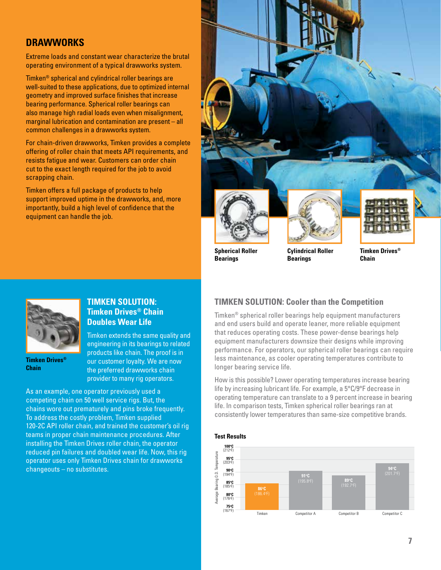#### **DRAWWORKS**

Extreme loads and constant wear characterize the brutal operating environment of a typical drawworks system.

Timken® spherical and cylindrical roller bearings are well-suited to these applications, due to optimized internal geometry and improved surface finishes that increase bearing performance. Spherical roller bearings can also manage high radial loads even when misalignment, marginal lubrication and contamination are present – all common challenges in a drawworks system.

For chain-driven drawworks, Timken provides a complete offering of roller chain that meets API requirements, and resists fatigue and wear. Customers can order chain cut to the exact length required for the job to avoid scrapping chain.

Timken offers a full package of products to help support improved uptime in the drawworks, and, more importantly, build a high level of confidence that the equipment can handle the job.



**Spherical Roller Bearings**

**Cylindrical Roller Bearings**



**Timken Drives®** 

**Chain**



**Timken Drives® Chain**

#### **TIMKEN SOLUTION: Timken Drives® Chain Doubles Wear Life**

Timken extends the same quality and engineering in its bearings to related products like chain. The proof is in our customer loyalty. We are now the preferred drawworks chain provider to many rig operators.

As an example, one operator previously used a competing chain on 50 well service rigs. But, the chains wore out prematurely and pins broke frequently. To address the costly problem, Timken supplied 120-2C API roller chain, and trained the customer's oil rig teams in proper chain maintenance procedures. After installing the Timken Drives roller chain, the operator reduced pin failures and doubled wear life. Now, this rig operator uses only Timken Drives chain for drawworks changeouts – no substitutes.

#### **TIMKEN SOLUTION: Cooler than the Competition**

Timken® spherical roller bearings help equipment manufacturers and end users build and operate leaner, more reliable equipment that reduces operating costs. These power-dense bearings help equipment manufacturers downsize their designs while improving performance. For operators, our spherical roller bearings can require less maintenance, as cooler operating temperatures contribute to longer bearing service life.

How is this possible? Lower operating temperatures increase bearing life by increasing lubricant life. For example, a 5°C/9°F decrease in operating temperature can translate to a 9 percent increase in bearing life. In comparison tests, Timken spherical roller bearings ran at consistently lower temperatures than same-size competitive brands.



#### **Test Results**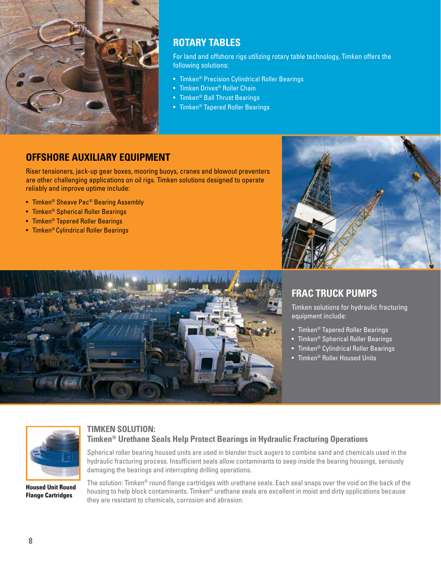

#### **ROTARY TABLES**

For land and offshore rigs utilizing rotary table technology, Timken offers the following solutions:

- Timken® Precision Cylindrical Roller Bearings
- Timken Drives<sup>®</sup> Roller Chain
- Timken® Ball Thrust Bearings
- Timken® Tapered Roller Bearings

#### **OFFSHORE AUXILIARY EQUIPMENT**

Riser tensioners, jack-up gear boxes, mooring buoys, cranes and blowout preventers are other challenging applications on oil rigs. Timken solutions designed to operate reliably and improve uptime include:

- Timken® Sheave Pac® Bearing Assembly
- Timken® Spherical Roller Bearings
- Timken® Tapered Roller Bearings
- Timken® Cylindrical Roller Bearings





## **FRAC TRUCK PUMPS**

Timken solutions for hydraulic fracturing equipment include:

- Timken® Tapered Roller Bearings
- Timken® Spherical Roller Bearings
- Timken® Cylindrical Roller Bearings
- Timken® Roller Housed Units

![](_page_7_Picture_21.jpeg)

**Housed Unit Round Flange Cartridges**

#### **TIMKEN SOLUTION: Timken® Urethane Seals Help Protect Bearings in Hydraulic Fracturing Operations**

Spherical roller bearing housed units are used in blender truck augers to combine sand and chemicals used in the hydraulic fracturing process. Insufficient seals allow contaminants to seep inside the bearing housings, seriously damaging the bearings and interrupting drilling operations.

The solution: Timken<sup>®</sup> round flange cartridges with urethane seals. Each seal snaps over the void on the back of the housing to help block contaminants. Timken<sup>®</sup> urethane seals are excellent in moist and dirty applications because they are resistant to chemicals, corrosion and abrasion.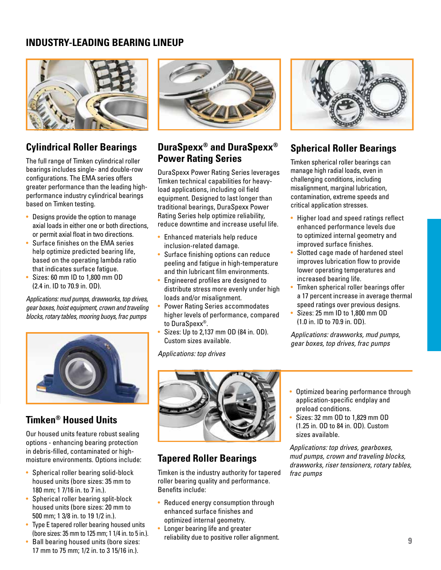#### **INDUSTRY-LEADING BEARING LINEUP**

![](_page_8_Picture_1.jpeg)

## **Cylindrical Roller Bearings**

The full range of Timken cylindrical roller bearings includes single- and double-row configurations. The EMA series offers greater performance than the leading highperformance industry cylindrical bearings based on Timken testing.

- Designs provide the option to manage axial loads in either one or both directions, or permit axial float in two directions.
- Surface finishes on the EMA series help optimize predicted bearing life, based on the operating lambda ratio that indicates surface fatigue.
- Sizes: 60 mm ID to 1,800 mm OD (2.4 in. ID to 70.9 in. OD).

Applications: mud pumps, drawworks, top drives, gear boxes, hoist equipment, crown and traveling blocks, rotary tables, mooring buoys, frac pumps

![](_page_8_Picture_8.jpeg)

## **Timken® Housed Units**

Our housed units feature robust sealing options - enhancing bearing protection in debris-filled, contaminated or highmoisture environments. Options include:

- Spherical roller bearing solid-block housed units (bore sizes: 35 mm to 180 mm; 1 7/16 in. to 7 in.).
- Spherical roller bearing split-block housed units (bore sizes: 20 mm to 500 mm; 1 3/8 in. to 19 1/2 in.).
- Type E tapered roller bearing housed units (bore sizes: 35 mm to 125 mm; 1 1/4 in. to 5 in.).
- Ball bearing housed units (bore sizes: 17 mm to 75 mm; 1/2 in. to 3 15/16 in.).

![](_page_8_Picture_15.jpeg)

#### **DuraSpexx® and DuraSpexx® Power Rating Series**

DuraSpexx Power Rating Series leverages Timken technical capabilities for heavyload applications, including oil field equipment. Designed to last longer than traditional bearings, DuraSpexx Power Rating Series help optimize reliability, reduce downtime and increase useful life.

- Enhanced materials help reduce inclusion-related damage.
- Surface finishing options can reduce peeling and fatigue in high-temperature and thin lubricant film environments.
- Engineered profiles are designed to distribute stress more evenly under high loads and/or misalignment.
- Power Rating Series accommodates higher levels of performance, compared to DuraSpexx®.
- Sizes: Up to 2,137 mm OD (84 in. OD). Custom sizes available.

Applications: top drives

![](_page_8_Picture_24.jpeg)

## **Spherical Roller Bearings**

Timken spherical roller bearings can manage high radial loads, even in challenging conditions, including misalignment, marginal lubrication, contamination, extreme speeds and critical application stresses.

- Higher load and speed ratings reflect enhanced performance levels due to optimized internal geometry and improved surface finishes.
- Slotted cage made of hardened steel improves lubrication flow to provide lower operating temperatures and increased bearing life.
- Timken spherical roller bearings offer a 17 percent increase in average thermal speed ratings over previous designs.
- Sizes: 25 mm ID to 1,800 mm OD (1.0 in. ID to 70.9 in. OD).

Applications: drawworks, mud pumps, gear boxes, top drives, frac pumps

![](_page_8_Picture_32.jpeg)

## **Tapered Roller Bearings**

Timken is the industry authority for tapered roller bearing quality and performance. Benefits include:

- Reduced energy consumption through enhanced surface finishes and optimized internal geometry.
- Longer bearing life and greater reliability due to positive roller alignment.
- Optimized bearing performance through application-specific endplay and preload conditions.
- Sizes: 32 mm OD to 1,829 mm OD (1.25 in. OD to 84 in. OD). Custom sizes available.

Applications: top drives, gearboxes, mud pumps, crown and traveling blocks, drawworks, riser tensioners, rotary tables, frac pumps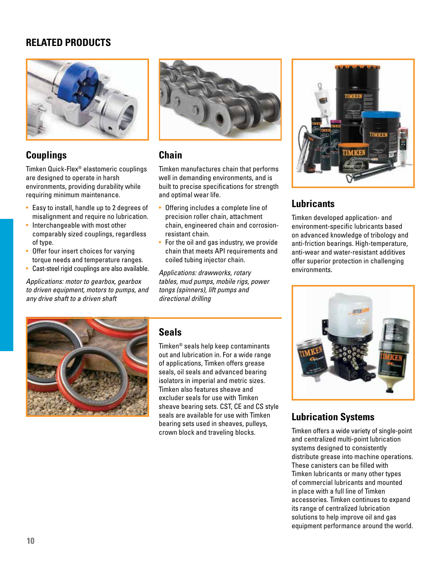#### **RELATED PRODUCTS**

![](_page_9_Picture_1.jpeg)

## **Couplings**

Timken Quick-Flex® elastomeric couplings are designed to operate in harsh environments, providing durability while requiring minimum maintenance.

- Easy to install, handle up to 2 degrees of misalignment and require no lubrication.
- Interchangeable with most other comparably sized couplings, regardless of type.
- Offer four insert choices for varying torque needs and temperature ranges.
- Cast-steel rigid couplings are also available.

Applications: motor to gearbox, gearbox to driven equipment, motors to pumps, and any drive shaft to a driven shaft

![](_page_9_Picture_9.jpeg)

## **Chain**

Timken manufactures chain that performs well in demanding environments, and is built to precise specifications for strength and optimal wear life.

- Offering includes a complete line of precision roller chain, attachment chain, engineered chain and corrosionresistant chain.
- For the oil and gas industry, we provide chain that meets API requirements and coiled tubing injector chain.

Applications: drawworks, rotary tables, mud pumps, mobile rigs, power tongs (spinners), lift pumps and directional drilling

![](_page_9_Picture_15.jpeg)

## **Lubricants**

Timken developed application- and environment-specific lubricants based on advanced knowledge of tribology and anti-friction bearings. High-temperature, anti-wear and water-resistant additives offer superior protection in challenging environments.

![](_page_9_Picture_18.jpeg)

## **Seals**

Timken® seals help keep contaminants out and lubrication in. For a wide range of applications, Timken offers grease seals, oil seals and advanced bearing isolators in imperial and metric sizes. Timken also features sheave and excluder seals for use with Timken sheave bearing sets. CST, CE and CS style seals are available for use with Timken bearing sets used in sheaves, pulleys, crown block and traveling blocks.

![](_page_9_Picture_21.jpeg)

## **Lubrication Systems**

Timken offers a wide variety of single-point and centralized multi-point lubrication systems designed to consistently distribute grease into machine operations. These canisters can be filled with Timken lubricants or many other types of commercial lubricants and mounted in place with a full line of Timken accessories. Timken continues to expand its range of centralized lubrication solutions to help improve oil and gas equipment performance around the world.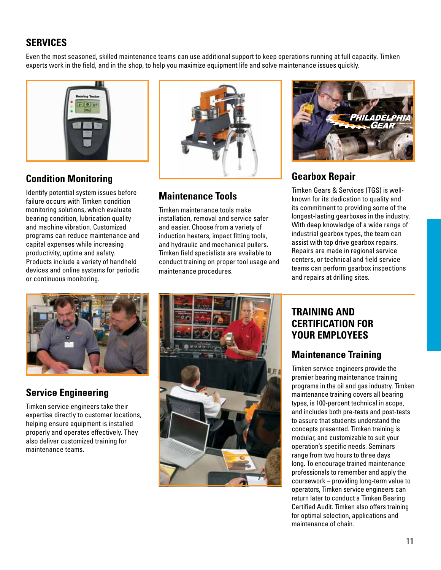## **SERVICES**

Even the most seasoned, skilled maintenance teams can use additional support to keep operations running at full capacity. Timken experts work in the field, and in the shop, to help you maximize equipment life and solve maintenance issues quickly.

![](_page_10_Picture_2.jpeg)

## **Condition Monitoring**

Identify potential system issues before failure occurs with Timken condition monitoring solutions, which evaluate bearing condition, lubrication quality and machine vibration. Customized programs can reduce maintenance and capital expenses while increasing productivity, uptime and safety. Products include a variety of handheld devices and online systems for periodic or continuous monitoring.

![](_page_10_Picture_5.jpeg)

## **Maintenance Tools**

Timken maintenance tools make installation, removal and service safer and easier. Choose from a variety of induction heaters, impact fitting tools, and hydraulic and mechanical pullers. Timken field specialists are available to conduct training on proper tool usage and maintenance procedures.

![](_page_10_Picture_8.jpeg)

## **Gearbox Repair**

Timken Gears & Services (TGS) is wellknown for its dedication to quality and its commitment to providing some of the longest-lasting gearboxes in the industry. With deep knowledge of a wide range of industrial gearbox types, the team can assist with top drive gearbox repairs. Repairs are made in regional service centers, or technical and field service teams can perform gearbox inspections and repairs at drilling sites.

![](_page_10_Picture_11.jpeg)

## **Service Engineering**

Timken service engineers take their expertise directly to customer locations, helping ensure equipment is installed properly and operates effectively. They also deliver customized training for maintenance teams.

![](_page_10_Picture_14.jpeg)

#### **TRAINING AND CERTIFICATION FOR YOUR EMPLOYEES**

## **Maintenance Training**

Timken service engineers provide the premier bearing maintenance training programs in the oil and gas industry. Timken maintenance training covers all bearing types, is 100-percent technical in scope, and includes both pre-tests and post-tests to assure that students understand the concepts presented. Timken training is modular, and customizable to suit your operation's specific needs. Seminars range from two hours to three days long. To encourage trained maintenance professionals to remember and apply the coursework – providing long-term value to operators, Timken service engineers can return later to conduct a Timken Bearing Certified Audit. Timken also offers training for optimal selection, applications and maintenance of chain.